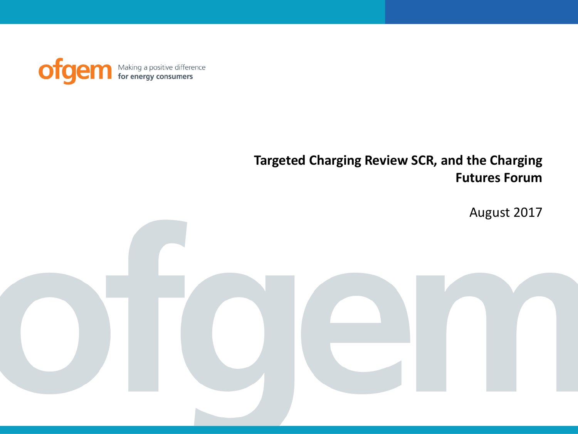ofgem Making a positive difference<br> **for energy consumers** 

## **Targeted Charging Review SCR, and the Charging Futures Forum**

August 2017

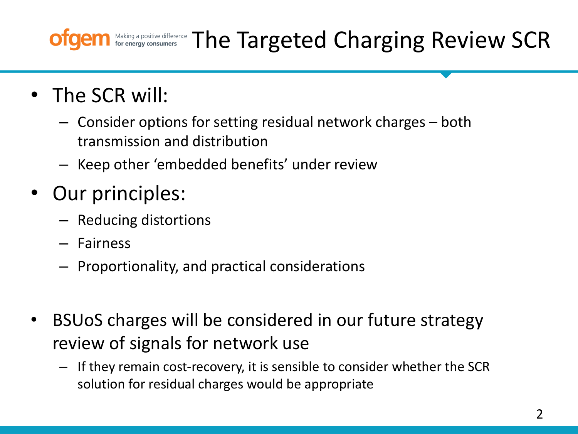## Making a positive difference The Targeted Charging Review SCR

- The SCR will:
	- Consider options for setting residual network charges both transmission and distribution
	- Keep other 'embedded benefits' under review
- Our principles:
	- Reducing distortions
	- Fairness
	- Proportionality, and practical considerations
- BSUoS charges will be considered in our future strategy review of signals for network use
	- If they remain cost-recovery, it is sensible to consider whether the SCR solution for residual charges would be appropriate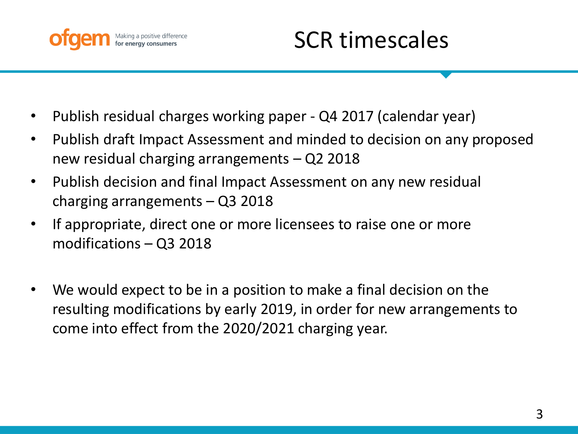

- Publish residual charges working paper Q4 2017 (calendar year)
- Publish draft Impact Assessment and minded to decision on any proposed new residual charging arrangements – Q2 2018
- Publish decision and final Impact Assessment on any new residual charging arrangements – Q3 2018
- If appropriate, direct one or more licensees to raise one or more modifications – Q3 2018
- We would expect to be in a position to make a final decision on the resulting modifications by early 2019, in order for new arrangements to come into effect from the 2020/2021 charging year.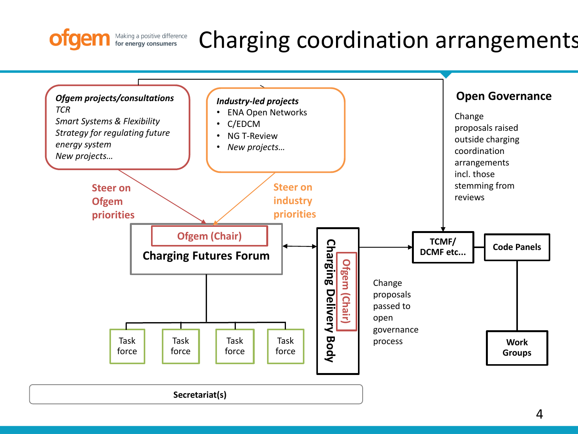## Making a positive difference<br>**for energy consumers** Charging coordination arrangements